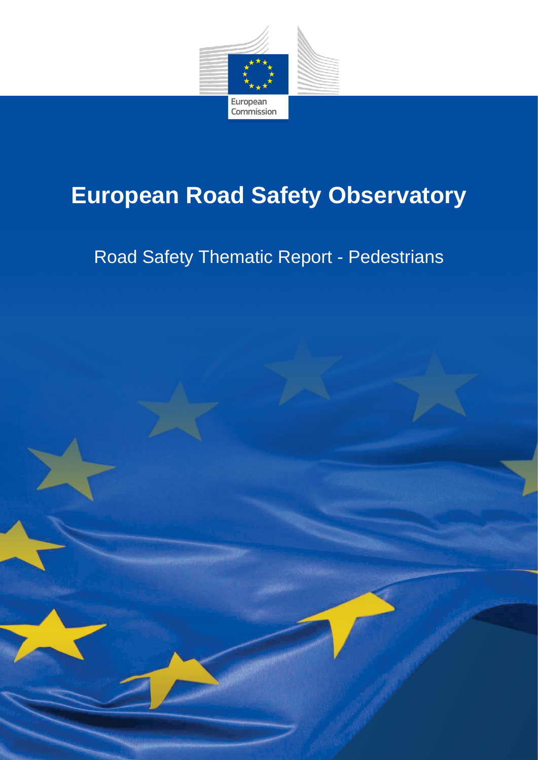

# **European Road Safety Observatory**

# Road Safety Thematic Report - Pedestrians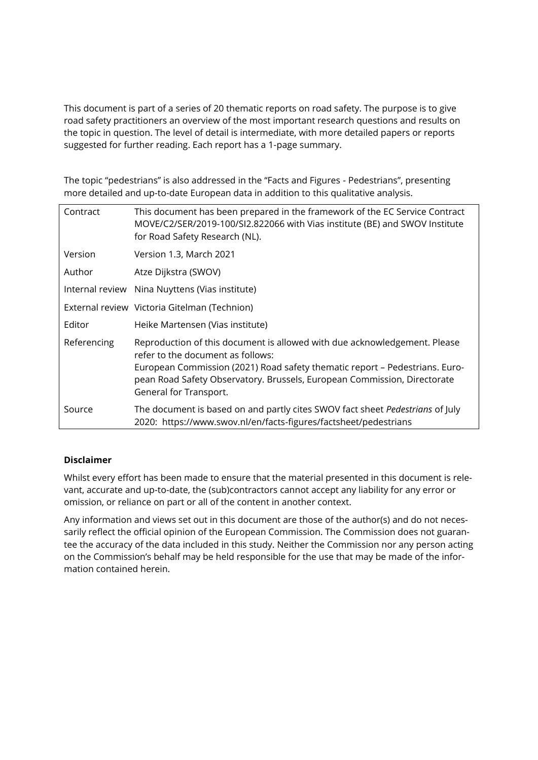This document is part of a series of 20 thematic reports on road safety. The purpose is to give road safety practitioners an overview of the most important research questions and results on the topic in question. The level of detail is intermediate, with more detailed papers or reports suggested for further reading. Each report has a 1-page summary.

The topic "pedestrians" is also addressed in the "Facts and Figures - Pedestrians", presenting more detailed and up-to-date European data in addition to this qualitative analysis.

| Contract    | This document has been prepared in the framework of the EC Service Contract<br>MOVE/C2/SER/2019-100/SI2.822066 with Vias institute (BE) and SWOV Institute<br>for Road Safety Research (NL).  |
|-------------|-----------------------------------------------------------------------------------------------------------------------------------------------------------------------------------------------|
| Version     | Version 1.3, March 2021                                                                                                                                                                       |
| Author      | Atze Dijkstra (SWOV)                                                                                                                                                                          |
|             | Internal review Nina Nuyttens (Vias institute)                                                                                                                                                |
|             | External review Victoria Gitelman (Technion)                                                                                                                                                  |
| Editor      | Heike Martensen (Vias institute)                                                                                                                                                              |
| Referencing | Reproduction of this document is allowed with due acknowledgement. Please<br>refer to the document as follows:<br>European Commission (2021) Road safety thematic report – Pedestrians. Euro- |
|             | pean Road Safety Observatory. Brussels, European Commission, Directorate<br>General for Transport.                                                                                            |
| Source      | The document is based on and partly cites SWOV fact sheet Pedestrians of July<br>2020: https://www.swov.nl/en/facts-figures/factsheet/pedestrians                                             |

#### **Disclaimer**

Whilst every effort has been made to ensure that the material presented in this document is relevant, accurate and up-to-date, the (sub)contractors cannot accept any liability for any error or omission, or reliance on part or all of the content in another context.

Any information and views set out in this document are those of the author(s) and do not necessarily reflect the official opinion of the European Commission. The Commission does not guarantee the accuracy of the data included in this study. Neither the Commission nor any person acting on the Commission's behalf may be held responsible for the use that may be made of the information contained herein.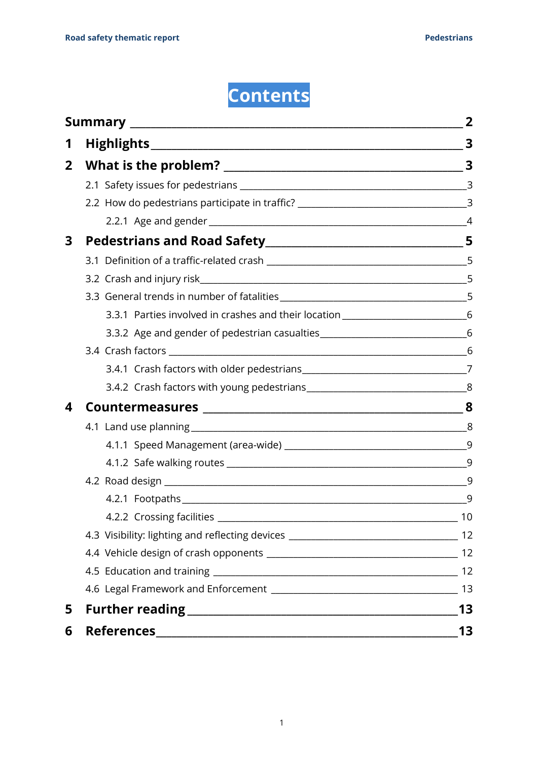# **Contents**

|                |                                                                                                                                                                                                                                | 2  |
|----------------|--------------------------------------------------------------------------------------------------------------------------------------------------------------------------------------------------------------------------------|----|
| 1              |                                                                                                                                                                                                                                |    |
| $\overline{2}$ |                                                                                                                                                                                                                                |    |
|                |                                                                                                                                                                                                                                |    |
|                | 2.2 How do pedestrians participate in traffic? __________________________________3                                                                                                                                             |    |
|                |                                                                                                                                                                                                                                |    |
| 3              |                                                                                                                                                                                                                                |    |
|                |                                                                                                                                                                                                                                |    |
|                |                                                                                                                                                                                                                                |    |
|                |                                                                                                                                                                                                                                |    |
|                | 3.3.1 Parties involved in crashes and their location ____________________________6                                                                                                                                             |    |
|                | 3.3.2 Age and gender of pedestrian casualties___________________________________6                                                                                                                                              |    |
|                |                                                                                                                                                                                                                                |    |
|                |                                                                                                                                                                                                                                |    |
|                |                                                                                                                                                                                                                                |    |
|                |                                                                                                                                                                                                                                |    |
|                |                                                                                                                                                                                                                                |    |
|                |                                                                                                                                                                                                                                |    |
|                |                                                                                                                                                                                                                                |    |
|                |                                                                                                                                                                                                                                |    |
|                | 4.2.1 Footpaths and the contract of the contract of the contract of the contract of the contract of the contract of the contract of the contract of the contract of the contract of the contract of the contract of the contra | -9 |
|                | 4.2.2 Crossing facilities                                                                                                                                                                                                      | 10 |
|                |                                                                                                                                                                                                                                |    |
|                |                                                                                                                                                                                                                                |    |
|                |                                                                                                                                                                                                                                | 12 |
|                |                                                                                                                                                                                                                                | 13 |
| 5              |                                                                                                                                                                                                                                | 13 |
| 6              |                                                                                                                                                                                                                                | 13 |
|                |                                                                                                                                                                                                                                |    |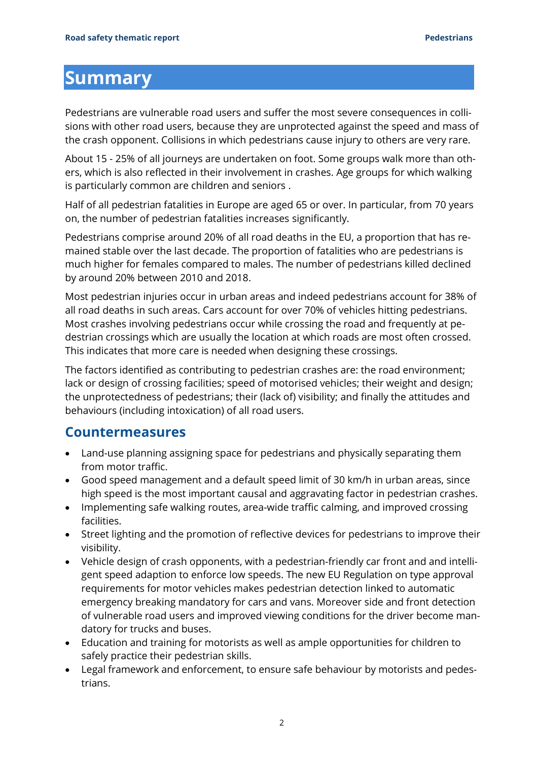## <span id="page-3-0"></span>**Summary**

Pedestrians are vulnerable road users and suffer the most severe consequences in collisions with other road users, because they are unprotected against the speed and mass of the crash opponent. Collisions in which pedestrians cause injury to others are very rare.

About 15 - 25% of all journeys are undertaken on foot. Some groups walk more than others, which is also reflected in their involvement in crashes. Age groups for which walking is particularly common are children and seniors .

Half of all pedestrian fatalities in Europe are aged 65 or over. In particular, from 70 years on, the number of pedestrian fatalities increases significantly.

Pedestrians comprise around 20% of all road deaths in the EU, a proportion that has remained stable over the last decade. The proportion of fatalities who are pedestrians is much higher for females compared to males. The number of pedestrians killed declined by around 20% between 2010 and 2018.

Most pedestrian injuries occur in urban areas and indeed pedestrians account for 38% of all road deaths in such areas. Cars account for over 70% of vehicles hitting pedestrians. Most crashes involving pedestrians occur while crossing the road and frequently at pedestrian crossings which are usually the location at which roads are most often crossed. This indicates that more care is needed when designing these crossings.

The factors identified as contributing to pedestrian crashes are: the road environment; lack or design of crossing facilities; speed of motorised vehicles; their weight and design; the unprotectedness of pedestrians; their (lack of) visibility; and finally the attitudes and behaviours (including intoxication) of all road users.

### **Countermeasures**

- Land-use planning assigning space for pedestrians and physically separating them from motor traffic.
- Good speed management and a default speed limit of 30 km/h in urban areas, since high speed is the most important causal and aggravating factor in pedestrian crashes.
- Implementing safe walking routes, area-wide traffic calming, and improved crossing facilities.
- Street lighting and the promotion of reflective devices for pedestrians to improve their visibility.
- Vehicle design of crash opponents, with a pedestrian-friendly car front and and intelligent speed adaption to enforce low speeds. The new EU Regulation on type approval requirements for motor vehicles makes pedestrian detection linked to automatic emergency breaking mandatory for cars and vans. Moreover side and front detection of vulnerable road users and improved viewing conditions for the driver become mandatory for trucks and buses.
- Education and training for motorists as well as ample opportunities for children to safely practice their pedestrian skills.
- Legal framework and enforcement, to ensure safe behaviour by motorists and pedestrians.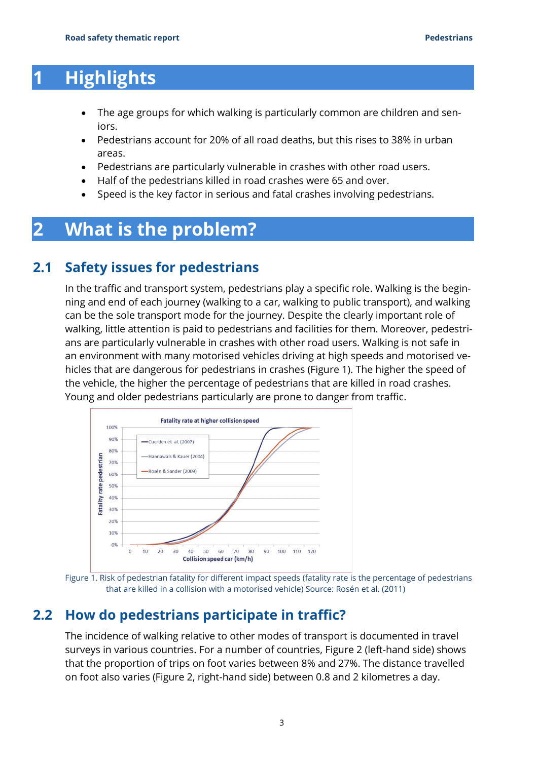## <span id="page-4-0"></span>**1 Highlights**

- The age groups for which walking is particularly common are children and seniors.
- Pedestrians account for 20% of all road deaths, but this rises to 38% in urban areas.
- Pedestrians are particularly vulnerable in crashes with other road users.
- Half of the pedestrians killed in road crashes were 65 and over.
- <span id="page-4-1"></span>• Speed is the key factor in serious and fatal crashes involving pedestrians.

## **2 What is the problem?**

## **2.1 Safety issues for pedestrians**

<span id="page-4-2"></span>In the traffic and transport system, pedestrians play a specific role. Walking is the beginning and end of each journey (walking to a car, walking to public transport), and walking can be the sole transport mode for the journey. Despite the clearly important role of walking, little attention is paid to pedestrians and facilities for them. Moreover, pedestrians are particularly vulnerable in crashes with other road users. Walking is not safe in an environment with many motorised vehicles driving at high speeds and motorised vehicles that are dangerous for pedestrians in crashes (Figure 1). The higher the speed of the vehicle, the higher the percentage of pedestrians that are killed in road crashes. Young and older pedestrians particularly are prone to danger from traffic.



Figure 1. Risk of pedestrian fatality for different impact speeds (fatality rate is the percentage of pedestrians that are killed in a collision with a motorised vehicle) Source: Rosén et al. (2011)

## **2.2 How do pedestrians participate in traffic?**

<span id="page-4-3"></span>The incidence of walking relative to other modes of transport is documented in travel surveys in various countries. For a number of countries, Figure 2 (left-hand side) shows that the proportion of trips on foot varies between 8% and 27%. The distance travelled on foot also varies (Figure 2, right-hand side) between 0.8 and 2 kilometres a day.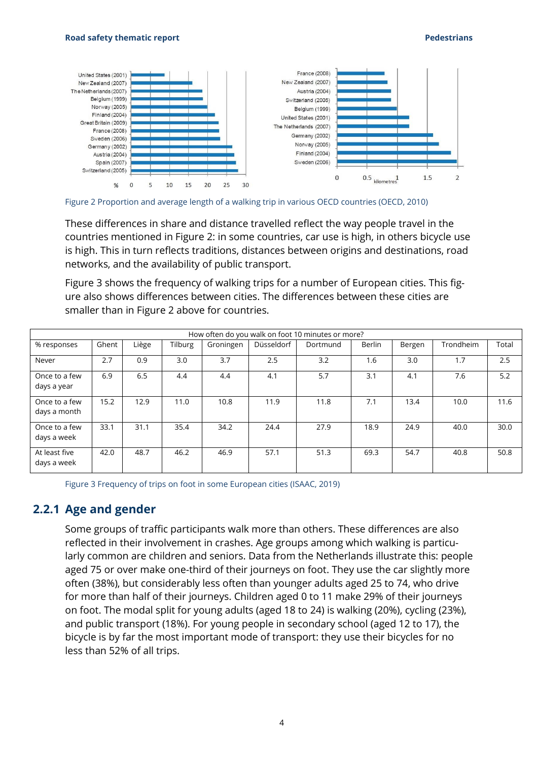

Figure 2 Proportion and average length of a walking trip in various OECD countries (OECD, 2010)

These differences in share and distance travelled reflect the way people travel in the countries mentioned in Figure 2: in some countries, car use is high, in others bicycle use is high. This in turn reflects traditions, distances between origins and destinations, road networks, and the availability of public transport.

Figure 3 shows the frequency of walking trips for a number of European cities. This figure also shows differences between cities. The differences between these cities are smaller than in Figure 2 above for countries.

| How often do you walk on foot 10 minutes or more? |       |       |         |           |            |          |               |        |           |       |  |  |
|---------------------------------------------------|-------|-------|---------|-----------|------------|----------|---------------|--------|-----------|-------|--|--|
| % responses                                       | Ghent | Liège | Tilburg | Groningen | Düsseldorf | Dortmund | <b>Berlin</b> | Bergen | Trondheim | Total |  |  |
| Never                                             | 2.7   | 0.9   | 3.0     | 3.7       | 2.5        | 3.2      | 1.6           | 3.0    | 1.7       | 2.5   |  |  |
| Once to a few<br>days a year                      | 6.9   | 6.5   | 4.4     | 4.4       | 4.1        | 5.7      | 3.1           | 4.1    | 7.6       | 5.2   |  |  |
| Once to a few<br>days a month                     | 15.2  | 12.9  | 11.0    | 10.8      | 11.9       | 11.8     | 7.1           | 13.4   | 10.0      | 11.6  |  |  |
| Once to a few<br>days a week                      | 33.1  | 31.1  | 35.4    | 34.2      | 24.4       | 27.9     | 18.9          | 24.9   | 40.0      | 30.0  |  |  |
| At least five<br>days a week                      | 42.0  | 48.7  | 46.2    | 46.9      | 57.1       | 51.3     | 69.3          | 54.7   | 40.8      | 50.8  |  |  |

<span id="page-5-0"></span>Figure 3 Frequency of trips on foot in some European cities (ISAAC, 2019)

#### **2.2.1 Age and gender**

Some groups of traffic participants walk more than others. These differences are also reflected in their involvement in crashes. Age groups among which walking is particularly common are children and seniors. Data from the Netherlands illustrate this: people aged 75 or over make one-third of their journeys on foot. They use the car slightly more often (38%), but considerably less often than younger adults aged 25 to 74, who drive for more than half of their journeys. Children aged 0 to 11 make 29% of their journeys on foot. The modal split for young adults (aged 18 to 24) is walking (20%), cycling (23%), and public transport (18%). For young people in secondary school (aged 12 to 17), the bicycle is by far the most important mode of transport: they use their bicycles for no less than 52% of all trips.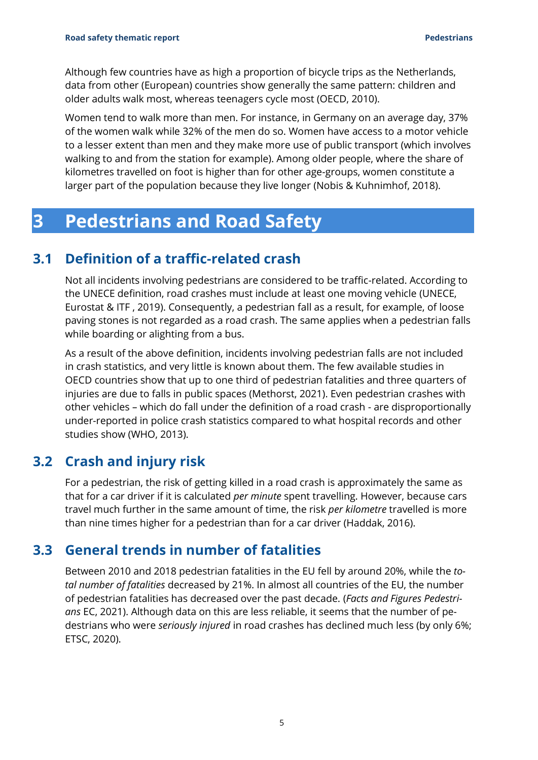Although few countries have as high a proportion of bicycle trips as the Netherlands, data from other (European) countries show generally the same pattern: children and older adults walk most, whereas teenagers cycle most (OECD, 2010).

Women tend to walk more than men. For instance, in Germany on an average day, 37% of the women walk while 32% of the men do so. Women have access to a motor vehicle to a lesser extent than men and they make more use of public transport (which involves walking to and from the station for example). Among older people, where the share of kilometres travelled on foot is higher than for other age-groups, women constitute a larger part of the population because they live longer (Nobis & Kuhnimhof, 2018).

## <span id="page-6-0"></span>**3 Pedestrians and Road Safety**

## **3.1 Definition of a traffic-related crash**

<span id="page-6-1"></span>Not all incidents involving pedestrians are considered to be traffic-related. According to the UNECE definition, road crashes must include at least one moving vehicle (UNECE, Eurostat & ITF , 2019). Consequently, a pedestrian fall as a result, for example, of loose paving stones is not regarded as a road crash. The same applies when a pedestrian falls while boarding or alighting from a bus.

As a result of the above definition, incidents involving pedestrian falls are not included in crash statistics, and very little is known about them. The few available studies in OECD countries show that up to one third of pedestrian fatalities and three quarters of injuries are due to falls in public spaces (Methorst, 2021). Even pedestrian crashes with other vehicles – which do fall under the definition of a road crash - are disproportionally under-reported in police crash statistics compared to what hospital records and other studies show (WHO, 2013).

## **3.2 Crash and injury risk**

<span id="page-6-2"></span>For a pedestrian, the risk of getting killed in a road crash is approximately the same as that for a car driver if it is calculated *per minute* spent travelling. However, because cars travel much further in the same amount of time, the risk *per kilometre* travelled is more than nine times higher for a pedestrian than for a car driver (Haddak, 2016).

## <span id="page-6-3"></span>**3.3 General trends in number of fatalities**

Between 2010 and 2018 pedestrian fatalities in the EU fell by around 20%, while the *total number of fatalities* decreased by 21%. In almost all countries of the EU, the number of pedestrian fatalities has decreased over the past decade. (*Facts and Figures Pedestrians* EC, 2021). Although data on this are less reliable, it seems that the number of pedestrians who were *seriously injured* in road crashes has declined much less (by only 6%; ETSC, 2020).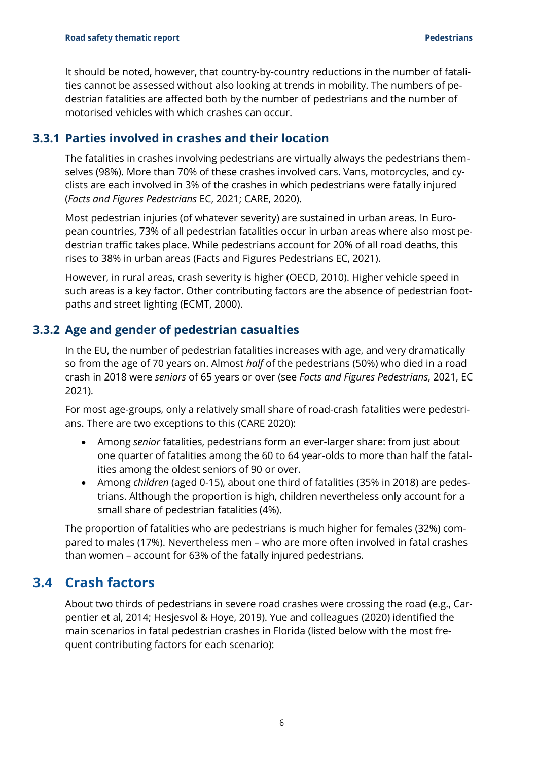It should be noted, however, that country-by-country reductions in the number of fatalities cannot be assessed without also looking at trends in mobility. The numbers of pedestrian fatalities are affected both by the number of pedestrians and the number of motorised vehicles with which crashes can occur.

#### **3.3.1 Parties involved in crashes and their location**

<span id="page-7-0"></span>The fatalities in crashes involving pedestrians are virtually always the pedestrians themselves (98%). More than 70% of these crashes involved cars. Vans, motorcycles, and cyclists are each involved in 3% of the crashes in which pedestrians were fatally injured (*Facts and Figures Pedestrians* EC, 2021; CARE, 2020).

Most pedestrian injuries (of whatever severity) are sustained in urban areas. In European countries, 73% of all pedestrian fatalities occur in urban areas where also most pedestrian traffic takes place. While pedestrians account for 20% of all road deaths, this rises to 38% in urban areas (Facts and Figures Pedestrians EC, 2021).

However, in rural areas, crash severity is higher (OECD, 2010). Higher vehicle speed in such areas is a key factor. Other contributing factors are the absence of pedestrian footpaths and street lighting (ECMT, 2000).

### **3.3.2 Age and gender of pedestrian casualties**

<span id="page-7-1"></span>In the EU, the number of pedestrian fatalities increases with age, and very dramatically so from the age of 70 years on. Almost *half* of the pedestrians (50%) who died in a road crash in 2018 were *seniors* of 65 years or over (see *Facts and Figures Pedestrians*, 2021, EC 2021).

For most age-groups, only a relatively small share of road-crash fatalities were pedestrians. There are two exceptions to this (CARE 2020):

- Among *senior* fatalities, pedestrians form an ever-larger share: from just about one quarter of fatalities among the 60 to 64 year-olds to more than half the fatalities among the oldest seniors of 90 or over.
- Among *children* (aged 0-15), about one third of fatalities (35% in 2018) are pedestrians. Although the proportion is high, children nevertheless only account for a small share of pedestrian fatalities (4%).

The proportion of fatalities who are pedestrians is much higher for females (32%) compared to males (17%). Nevertheless men – who are more often involved in fatal crashes than women – account for 63% of the fatally injured pedestrians.

## <span id="page-7-2"></span>**3.4 Crash factors**

About two thirds of pedestrians in severe road crashes were crossing the road (e.g., Carpentier et al, 2014; Hesjesvol & Hoye, 2019). Yue and colleagues (2020) identified the main scenarios in fatal pedestrian crashes in Florida (listed below with the most frequent contributing factors for each scenario):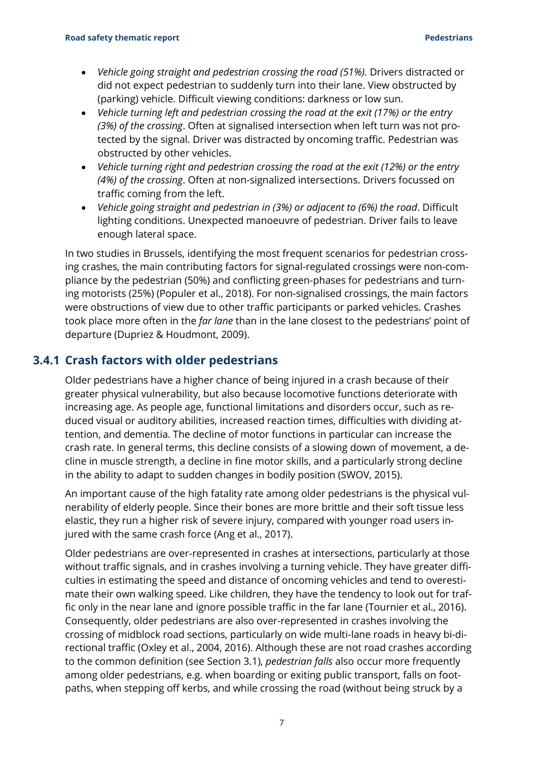- *Vehicle going straight and pedestrian crossing the road (51%).* Drivers distracted or did not expect pedestrian to suddenly turn into their lane. View obstructed by (parking) vehicle. Difficult viewing conditions: darkness or low sun.
- *Vehicle turning left and pedestrian crossing the road at the exit (17%) or the entry (3%) of the crossing*. Often at signalised intersection when left turn was not protected by the signal. Driver was distracted by oncoming traffic. Pedestrian was obstructed by other vehicles.
- *Vehicle turning right and pedestrian crossing the road at the exit (12%) or the entry (4%) of the crossing*. Often at non-signalized intersections. Drivers focussed on traffic coming from the left.
- *Vehicle going straight and pedestrian in (3%) or adjacent to (6%) the road*. Difficult lighting conditions. Unexpected manoeuvre of pedestrian. Driver fails to leave enough lateral space.

In two studies in Brussels, identifying the most frequent scenarios for pedestrian crossing crashes, the main contributing factors for signal-regulated crossings were non-compliance by the pedestrian (50%) and conflicting green-phases for pedestrians and turning motorists (25%) (Populer et al., 2018). For non-signalised crossings, the main factors were obstructions of view due to other traffic participants or parked vehicles. Crashes took place more often in the *far lane* than in the lane closest to the pedestrians' point of departure (Dupriez & Houdmont, 2009).

### **3.4.1 Crash factors with older pedestrians**

<span id="page-8-0"></span>Older pedestrians have a higher chance of being injured in a crash because of their greater physical vulnerability, but also because locomotive functions deteriorate with increasing age. As people age, functional limitations and disorders occur, such as reduced visual or auditory abilities, increased reaction times, difficulties with dividing attention, and dementia. The decline of motor functions in particular can increase the crash rate. In general terms, this decline consists of a slowing down of movement, a decline in muscle strength, a decline in fine motor skills, and a particularly strong decline in the ability to adapt to sudden changes in bodily position (SWOV, 2015).

An important cause of the high fatality rate among older pedestrians is the physical vulnerability of elderly people. Since their bones are more brittle and their soft tissue less elastic, they run a higher risk of severe injury, compared with younger road users injured with the same crash force (Ang et al., 2017).

Older pedestrians are over-represented in crashes at intersections, particularly at those without traffic signals, and in crashes involving a turning vehicle. They have greater difficulties in estimating the speed and distance of oncoming vehicles and tend to overestimate their own walking speed. Like children, they have the tendency to look out for traffic only in the near lane and ignore possible traffic in the far lane (Tournier et al., 2016). Consequently, older pedestrians are also over-represented in crashes involving the crossing of midblock road sections, particularly on wide multi-lane roads in heavy bi-directional traffic (Oxley et al., 2004, 2016). Although these are not road crashes according to the common definition (see Section [3.1\)](#page-6-1), *pedestrian falls* also occur more frequently among older pedestrians, e.g. when boarding or exiting public transport, falls on footpaths, when stepping off kerbs, and while crossing the road (without being struck by a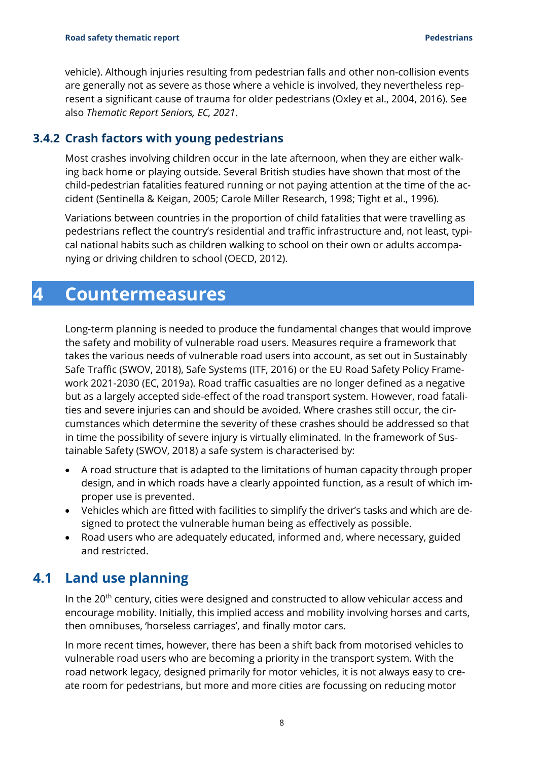vehicle). Although injuries resulting from pedestrian falls and other non-collision events are generally not as severe as those where a vehicle is involved, they nevertheless represent a significant cause of trauma for older pedestrians (Oxley et al., 2004, 2016). See also *Thematic Report Seniors, EC, 2021*.

#### **3.4.2 Crash factors with young pedestrians**

<span id="page-9-0"></span>Most crashes involving children occur in the late afternoon, when they are either walking back home or playing outside. Several British studies have shown that most of the child-pedestrian fatalities featured running or not paying attention at the time of the accident (Sentinella & Keigan, 2005; Carole Miller Research, 1998; Tight et al., 1996).

Variations between countries in the proportion of child fatalities that were travelling as pedestrians reflect the country's residential and traffic infrastructure and, not least, typical national habits such as children walking to school on their own or adults accompanying or driving children to school (OECD, 2012).

## <span id="page-9-1"></span>**4 Countermeasures**

Long-term planning is needed to produce the fundamental changes that would improve the safety and mobility of vulnerable road users. Measures require a framework that takes the various needs of vulnerable road users into account, as set out in Sustainably Safe Traffic (SWOV, 2018), Safe Systems (ITF, 2016) or the EU Road Safety Policy Framework 2021-2030 (EC, 2019a). Road traffic casualties are no longer defined as a negative but as a largely accepted side-effect of the road transport system. However, road fatalities and severe injuries can and should be avoided. Where crashes still occur, the circumstances which determine the severity of these crashes should be addressed so that in time the possibility of severe injury is virtually eliminated. In the framework of Sustainable Safety (SWOV, 2018) a safe system is characterised by:

- A road structure that is adapted to the limitations of human capacity through proper design, and in which roads have a clearly appointed function, as a result of which improper use is prevented.
- Vehicles which are fitted with facilities to simplify the driver's tasks and which are designed to protect the vulnerable human being as effectively as possible.
- Road users who are adequately educated, informed and, where necessary, guided and restricted.

## **4.1 Land use planning**

<span id="page-9-2"></span>In the  $20<sup>th</sup>$  century, cities were designed and constructed to allow vehicular access and encourage mobility. Initially, this implied access and mobility involving horses and carts, then omnibuses, 'horseless carriages', and finally motor cars.

In more recent times, however, there has been a shift back from motorised vehicles to vulnerable road users who are becoming a priority in the transport system. With the road network legacy, designed primarily for motor vehicles, it is not always easy to create room for pedestrians, but more and more cities are focussing on reducing motor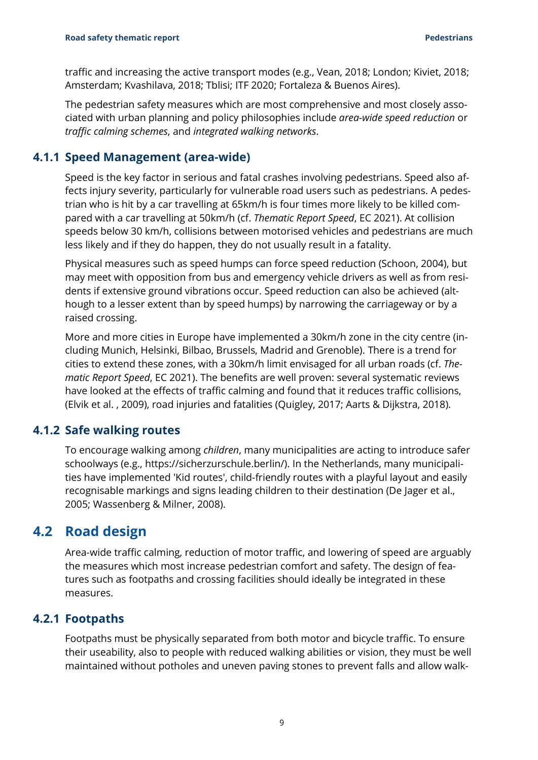traffic and increasing the active transport modes (e.g., Vean, 2018; London; Kiviet, 2018; Amsterdam; Kvashilava, 2018; Tblisi; ITF 2020; Fortaleza & Buenos Aires).

The pedestrian safety measures which are most comprehensive and most closely associated with urban planning and policy philosophies include *area-wide speed reduction* or *traffic calming schemes*, and *integrated walking networks*.

#### **4.1.1 Speed Management (area-wide)**

<span id="page-10-0"></span>Speed is the key factor in serious and fatal crashes involving pedestrians. Speed also affects injury severity, particularly for vulnerable road users such as pedestrians. A pedestrian who is hit by a car travelling at 65km/h is four times more likely to be killed compared with a car travelling at 50km/h (cf. *Thematic Report Speed*, EC 2021). At collision speeds below 30 km/h, collisions between motorised vehicles and pedestrians are much less likely and if they do happen, they do not usually result in a fatality.

Physical measures such as speed humps can force speed reduction (Schoon, 2004), but may meet with opposition from bus and emergency vehicle drivers as well as from residents if extensive ground vibrations occur. Speed reduction can also be achieved (although to a lesser extent than by speed humps) by narrowing the carriageway or by a raised crossing.

More and more cities in Europe have implemented a 30km/h zone in the city centre (including Munich, Helsinki, Bilbao, Brussels, Madrid and Grenoble). There is a trend for cities to extend these zones, with a 30km/h limit envisaged for all urban roads (cf. *Thematic Report Speed*, EC 2021). The benefits are well proven: several systematic reviews have looked at the effects of traffic calming and found that it reduces traffic collisions, (Elvik et al. , 2009), road injuries and fatalities (Quigley, 2017; Aarts & Dijkstra, 2018).

#### **4.1.2 Safe walking routes**

<span id="page-10-1"></span>To encourage walking among *children*, many municipalities are acting to introduce safer schoolways (e.g., https://sicherzurschule.berlin/). In the Netherlands, many municipalities have implemented 'Kid routes', child-friendly routes with a playful layout and easily recognisable markings and signs leading children to their destination (De Jager et al., 2005; Wassenberg & Milner, 2008).

### **4.2 Road design**

<span id="page-10-2"></span>Area-wide traffic calming, reduction of motor traffic, and lowering of speed are arguably the measures which most increase pedestrian comfort and safety. The design of features such as footpaths and crossing facilities should ideally be integrated in these measures.

#### **4.2.1 Footpaths**

<span id="page-10-3"></span>Footpaths must be physically separated from both motor and bicycle traffic. To ensure their useability, also to people with reduced walking abilities or vision, they must be well maintained without potholes and uneven paving stones to prevent falls and allow walk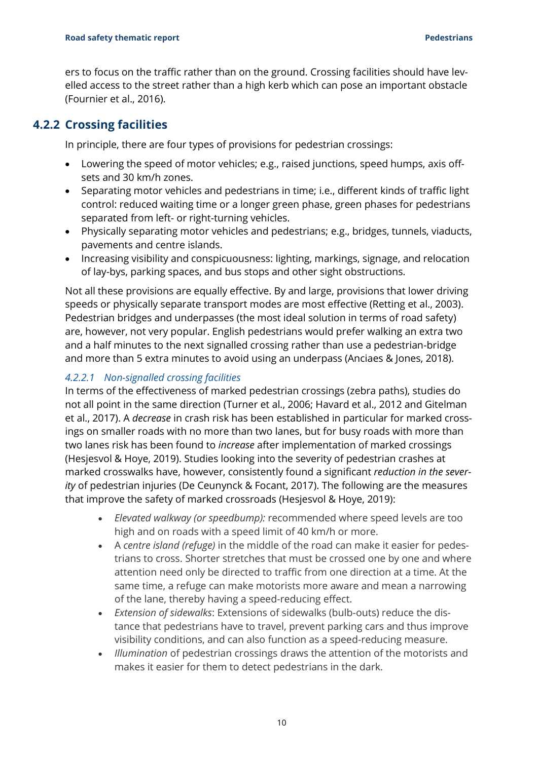ers to focus on the traffic rather than on the ground. Crossing facilities should have levelled access to the street rather than a high kerb which can pose an important obstacle (Fournier et al., 2016).

### **4.2.2 Crossing facilities**

<span id="page-11-0"></span>In principle, there are four types of provisions for pedestrian crossings:

- Lowering the speed of motor vehicles; e.g., raised junctions, speed humps, axis offsets and 30 km/h zones.
- Separating motor vehicles and pedestrians in time; i.e., different kinds of traffic light control: reduced waiting time or a longer green phase, green phases for pedestrians separated from left- or right-turning vehicles.
- Physically separating motor vehicles and pedestrians; e.g., bridges, tunnels, viaducts, pavements and centre islands.
- Increasing visibility and conspicuousness: lighting, markings, signage, and relocation of lay-bys, parking spaces, and bus stops and other sight obstructions.

Not all these provisions are equally effective. By and large, provisions that lower driving speeds or physically separate transport modes are most effective (Retting et al., 2003). Pedestrian bridges and underpasses (the most ideal solution in terms of road safety) are, however, not very popular. English pedestrians would prefer walking an extra two and a half minutes to the next signalled crossing rather than use a pedestrian-bridge and more than 5 extra minutes to avoid using an underpass (Anciaes & Jones, 2018).

#### *4.2.2.1 Non-signalled crossing facilities*

In terms of the effectiveness of marked pedestrian crossings (zebra paths), studies do not all point in the same direction (Turner et al., 2006; Havard et al., 2012 and Gitelman et al., 2017). A *decrease* in crash risk has been established in particular for marked crossings on smaller roads with no more than two lanes, but for busy roads with more than two lanes risk has been found to *increase* after implementation of marked crossings (Hesjesvol & Hoye, 2019). Studies looking into the severity of pedestrian crashes at marked crosswalks have, however, consistently found a significant *reduction in the severity* of pedestrian injuries (De Ceunynck & Focant, 2017). The following are the measures that improve the safety of marked crossroads (Hesjesvol & Hoye, 2019):

- *Elevated walkway (or speedbump):* recommended where speed levels are too high and on roads with a speed limit of 40 km/h or more.
- A *centre island (refuge)* in the middle of the road can make it easier for pedestrians to cross. Shorter stretches that must be crossed one by one and where attention need only be directed to traffic from one direction at a time. At the same time, a refuge can make motorists more aware and mean a narrowing of the lane, thereby having a speed-reducing effect.
- *Extension of sidewalks*: Extensions of sidewalks (bulb-outs) reduce the distance that pedestrians have to travel, prevent parking cars and thus improve visibility conditions, and can also function as a speed-reducing measure.
- *Illumination* of pedestrian crossings draws the attention of the motorists and makes it easier for them to detect pedestrians in the dark.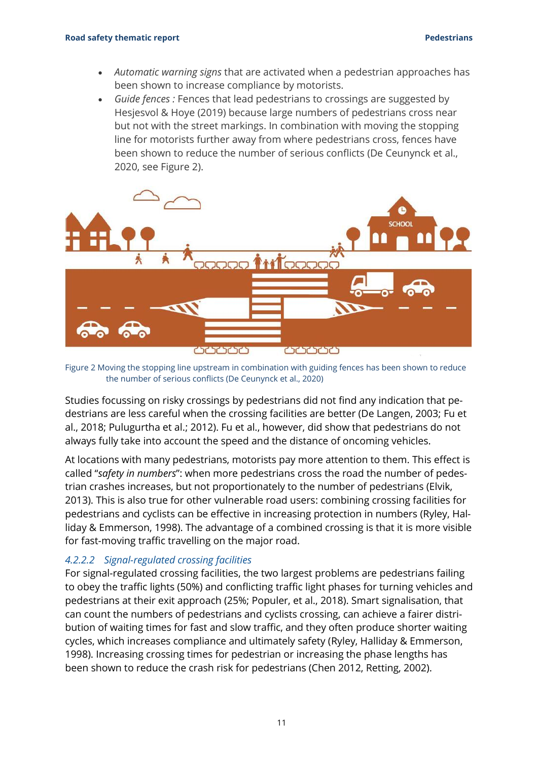- *Automatic warning signs* that are activated when a pedestrian approaches has been shown to increase compliance by motorists.
- *Guide fences :* Fences that lead pedestrians to crossings are suggested by Hesjesvol & Hoye (2019) because large numbers of pedestrians cross near but not with the street markings. In combination with moving the stopping line for motorists further away from where pedestrians cross, fences have been shown to reduce the number of serious conflicts (De Ceunynck et al., 2020, see Figure 2).



Figure 2 Moving the stopping line upstream in combination with guiding fences has been shown to reduce the number of serious conflicts (De Ceunynck et al., 2020)

Studies focussing on risky crossings by pedestrians did not find any indication that pedestrians are less careful when the crossing facilities are better (De Langen, 2003; Fu et al., 2018; Pulugurtha et al.; 2012). Fu et al., however, did show that pedestrians do not always fully take into account the speed and the distance of oncoming vehicles.

At locations with many pedestrians, motorists pay more attention to them. This effect is called "*safety in numbers*": when more pedestrians cross the road the number of pedestrian crashes increases, but not proportionately to the number of pedestrians (Elvik, 2013). This is also true for other vulnerable road users: combining crossing facilities for pedestrians and cyclists can be effective in increasing protection in numbers (Ryley, Halliday & Emmerson, 1998). The advantage of a combined crossing is that it is more visible for fast-moving traffic travelling on the major road.

#### *4.2.2.2 Signal-regulated crossing facilities*

For signal-regulated crossing facilities, the two largest problems are pedestrians failing to obey the traffic lights (50%) and conflicting traffic light phases for turning vehicles and pedestrians at their exit approach (25%; Populer, et al., 2018). Smart signalisation, that can count the numbers of pedestrians and cyclists crossing, can achieve a fairer distribution of waiting times for fast and slow traffic, and they often produce shorter waiting cycles, which increases compliance and ultimately safety (Ryley, Halliday & Emmerson, 1998). Increasing crossing times for pedestrian or increasing the phase lengths has been shown to reduce the crash risk for pedestrians (Chen 2012, Retting, 2002).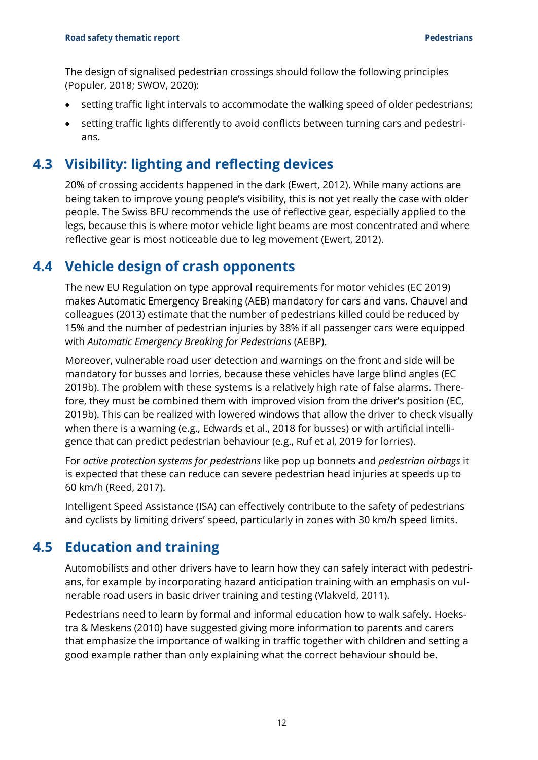The design of signalised pedestrian crossings should follow the following principles (Populer, 2018; SWOV, 2020):

- setting traffic light intervals to accommodate the walking speed of older pedestrians;
- <span id="page-13-0"></span>• setting traffic lights differently to avoid conflicts between turning cars and pedestrians.

## **4.3 Visibility: lighting and reflecting devices**

20% of crossing accidents happened in the dark (Ewert, 2012). While many actions are being taken to improve young people's visibility, this is not yet really the case with older people. The Swiss BFU recommends the use of reflective gear, especially applied to the legs, because this is where motor vehicle light beams are most concentrated and where reflective gear is most noticeable due to leg movement (Ewert, 2012).

### **4.4 Vehicle design of crash opponents**

<span id="page-13-1"></span>The new EU Regulation on type approval requirements for motor vehicles (EC 2019) makes Automatic Emergency Breaking (AEB) mandatory for cars and vans. Chauvel and colleagues (2013) estimate that the number of pedestrians killed could be reduced by 15% and the number of pedestrian injuries by 38% if all passenger cars were equipped with *Automatic Emergency Breaking for Pedestrians* (AEBP).

Moreover, vulnerable road user detection and warnings on the front and side will be mandatory for busses and lorries, because these vehicles have large blind angles (EC 2019b). The problem with these systems is a relatively high rate of false alarms. Therefore, they must be combined them with improved vision from the driver's position (EC, 2019b). This can be realized with lowered windows that allow the driver to check visually when there is a warning (e.g., Edwards et al., 2018 for busses) or with artificial intelligence that can predict pedestrian behaviour (e.g., Ruf et al, 2019 for lorries).

For *active protection systems for pedestrians* like pop up bonnets and *pedestrian airbags* it is expected that these can reduce can severe pedestrian head injuries at speeds up to 60 km/h (Reed, 2017).

Intelligent Speed Assistance (ISA) can effectively contribute to the safety of pedestrians and cyclists by limiting drivers' speed, particularly in zones with 30 km/h speed limits.

## **4.5 Education and training**

<span id="page-13-2"></span>Automobilists and other drivers have to learn how they can safely interact with pedestrians, for example by incorporating hazard anticipation training with an emphasis on vulnerable road users in basic driver training and testing (Vlakveld, 2011).

Pedestrians need to learn by formal and informal education how to walk safely. Hoekstra & Meskens (2010) have suggested giving more information to parents and carers that emphasize the importance of walking in traffic together with children and setting a good example rather than only explaining what the correct behaviour should be.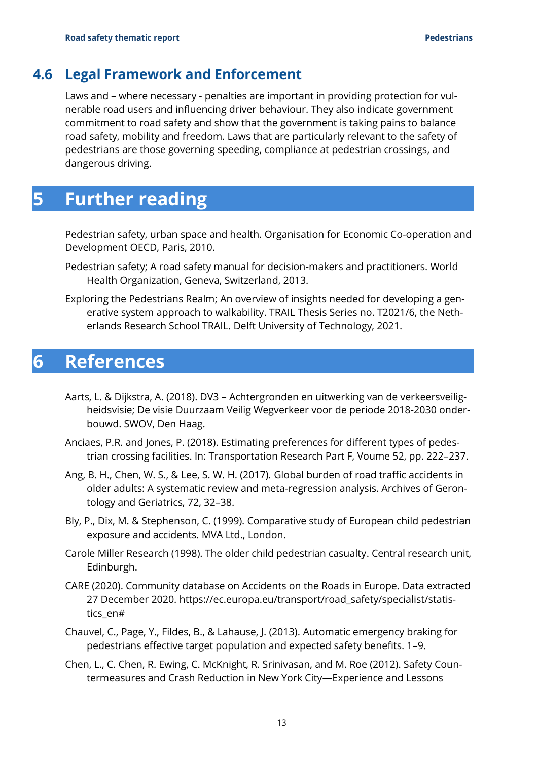### **4.6 Legal Framework and Enforcement**

<span id="page-14-0"></span>Laws and – where necessary - penalties are important in providing protection for vulnerable road users and influencing driver behaviour. They also indicate government commitment to road safety and show that the government is taking pains to balance road safety, mobility and freedom. Laws that are particularly relevant to the safety of pedestrians are those governing speeding, compliance at pedestrian crossings, and dangerous driving.

## <span id="page-14-1"></span>**5 Further reading**

Pedestrian safety, urban space and health. Organisation for Economic Co-operation and Development OECD, Paris, 2010.

- Pedestrian safety; A road safety manual for decision-makers and practitioners. World Health Organization, Geneva, Switzerland, 2013.
- Exploring the Pedestrians Realm; An overview of insights needed for developing a generative system approach to walkability. TRAIL Thesis Series no. T2021/6, the Netherlands Research School TRAIL. Delft University of Technology, 2021.

## <span id="page-14-2"></span>**6 References**

- Aarts, L. & Dijkstra, A. (2018). DV3 Achtergronden en uitwerking van de verkeersveiligheidsvisie; De visie Duurzaam Veilig Wegverkeer voor de periode 2018-2030 onderbouwd. SWOV, Den Haag.
- Anciaes, P.R. and Jones, P. (2018). Estimating preferences for different types of pedestrian crossing facilities. In: Transportation Research Part F, Voume 52, pp. 222–237.
- Ang, B. H., Chen, W. S., & Lee, S. W. H. (2017). Global burden of road traffic accidents in older adults: A systematic review and meta-regression analysis. Archives of Gerontology and Geriatrics, 72, 32–38.
- Bly, P., Dix, M. & Stephenson, C. (1999). Comparative study of European child pedestrian exposure and accidents. MVA Ltd., London.
- Carole Miller Research (1998). The older child pedestrian casualty. Central research unit, Edinburgh.
- CARE (2020). Community database on Accidents on the Roads in Europe. Data extracted 27 December 2020. https://ec.europa.eu/transport/road\_safety/specialist/statistics\_en#
- Chauvel, C., Page, Y., Fildes, B., & Lahause, J. (2013). Automatic emergency braking for pedestrians effective target population and expected safety benefits. 1–9.
- Chen, L., C. Chen, R. Ewing, C. McKnight, R. Srinivasan, and M. Roe (2012). Safety Countermeasures and Crash Reduction in New York City—Experience and Lessons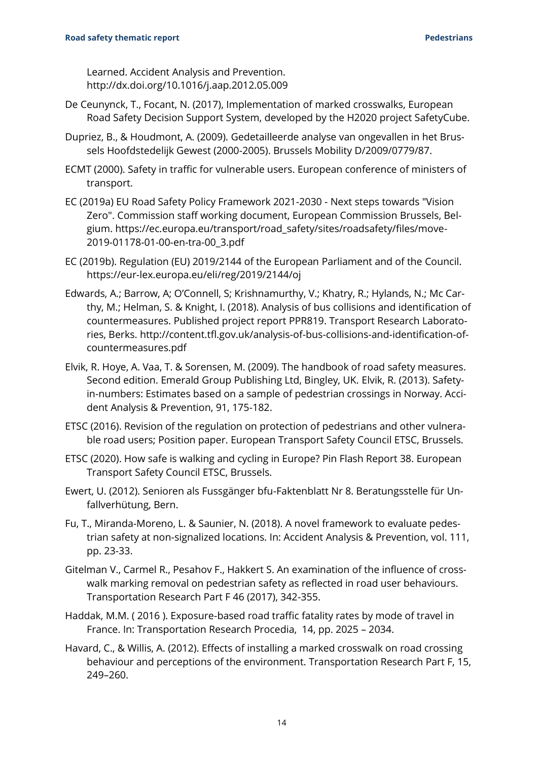Learned. Accident Analysis and Prevention. http://dx.doi.org/10.1016/j.aap.2012.05.009

- De Ceunynck, T., Focant, N. (2017), Implementation of marked crosswalks, European Road Safety Decision Support System, developed by the H2020 project SafetyCube.
- Dupriez, B., & Houdmont, A. (2009). Gedetailleerde analyse van ongevallen in het Brussels Hoofdstedelijk Gewest (2000-2005). Brussels Mobility D/2009/0779/87.
- ECMT (2000). Safety in traffic for vulnerable users. European conference of ministers of transport.
- EC (2019a) EU Road Safety Policy Framework 2021-2030 Next steps towards "Vision Zero". Commission staff working document, European Commission Brussels, Belgium. https://ec.europa.eu/transport/road\_safety/sites/roadsafety/files/move-2019-01178-01-00-en-tra-00\_3.pdf
- EC (2019b). Regulation (EU) 2019/2144 of the European Parliament and of the Council. https://eur-lex.europa.eu/eli/reg/2019/2144/oj
- Edwards, A.; Barrow, A; O'Connell, S; Krishnamurthy, V.; Khatry, R.; Hylands, N.; Mc Carthy, M.; Helman, S. & Knight, I. (2018). Analysis of bus collisions and identification of countermeasures. Published project report PPR819. Transport Research Laboratories, Berks. http://content.tfl.gov.uk/analysis-of-bus-collisions-and-identification-ofcountermeasures.pdf
- Elvik, R. Hoye, A. Vaa, T. & Sorensen, M. (2009). The handbook of road safety measures. Second edition. Emerald Group Publishing Ltd, Bingley, UK. Elvik, R. (2013). Safetyin-numbers: Estimates based on a sample of pedestrian crossings in Norway. Accident Analysis & Prevention, 91, 175-182.
- ETSC (2016). Revision of the regulation on protection of pedestrians and other vulnerable road users; Position paper. European Transport Safety Council ETSC, Brussels.
- ETSC (2020). How safe is walking and cycling in Europe? Pin Flash Report 38. European Transport Safety Council ETSC, Brussels.
- Ewert, U. (2012). Senioren als Fussgänger bfu-Faktenblatt Nr 8. Beratungsstelle für Unfallverhütung, Bern.
- Fu, T., Miranda-Moreno, L. & Saunier, N. (2018). A novel framework to evaluate pedestrian safety at non-signalized locations. In: Accident Analysis & Prevention, vol. 111, pp. 23-33.
- Gitelman V., Carmel R., Pesahov F., Hakkert S. An examination of the influence of crosswalk marking removal on pedestrian safety as reflected in road user behaviours. Transportation Research Part F 46 (2017), 342-355.
- Haddak, M.M. ( 2016 ). Exposure-based road traffic fatality rates by mode of travel in France. In: Transportation Research Procedia, 14, pp. 2025 – 2034.
- Havard, C., & Willis, A. (2012). Effects of installing a marked crosswalk on road crossing behaviour and perceptions of the environment. Transportation Research Part F, 15, 249–260.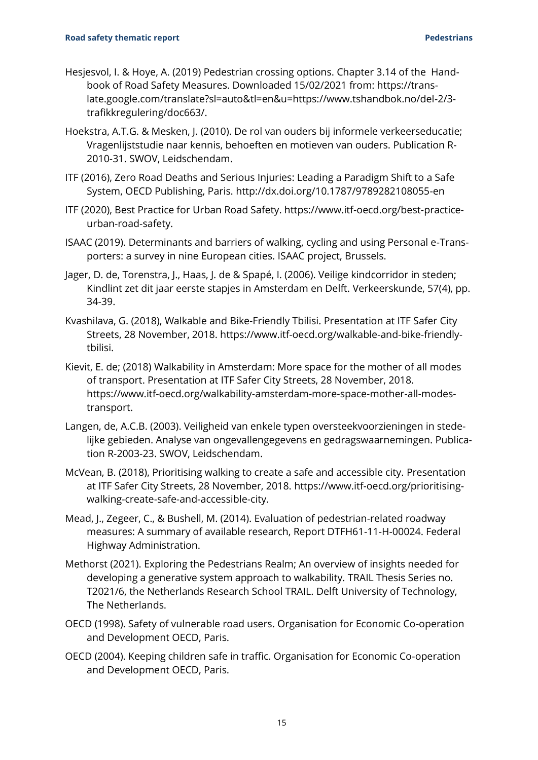- Hesjesvol, I. & Hoye, A. (2019) Pedestrian crossing options. Chapter 3.14 of the Handbook of Road Safety Measures. Downloaded 15/02/2021 from: https://translate.google.com/translate?sl=auto&tl=en&u=https://www.tshandbok.no/del-2/3 trafikkregulering/doc663/.
- Hoekstra, A.T.G. & Mesken, J. (2010). De rol van ouders bij informele verkeerseducatie; Vragenlijststudie naar kennis, behoeften en motieven van ouders. Publication R-2010-31. SWOV, Leidschendam.
- ITF (2016), Zero Road Deaths and Serious Injuries: Leading a Paradigm Shift to a Safe System, OECD Publishing, Paris.<http://dx.doi.org/10.1787/9789282108055-en>
- ITF (2020), Best Practice for Urban Road Safety. https://www.itf-oecd.org/best-practiceurban-road-safety.
- ISAAC (2019). Determinants and barriers of walking, cycling and using Personal e-Transporters: a survey in nine European cities. ISAAC project, Brussels.
- Jager, D. de, Torenstra, J., Haas, J. de & Spapé, I. (2006). Veilige kindcorridor in steden; Kindlint zet dit jaar eerste stapjes in Amsterdam en Delft. Verkeerskunde, 57(4), pp. 34-39.
- Kvashilava, G. (2018), Walkable and Bike-Friendly Tbilisi. Presentation at ITF Safer City Streets, 28 November, 2018. https://www.itf-oecd.org/walkable-and-bike-friendlytbilisi.
- Kievit, E. de; (2018) Walkability in Amsterdam: More space for the mother of all modes of transport. Presentation at ITF Safer City Streets, 28 November, 2018. https://www.itf-oecd.org/walkability-amsterdam-more-space-mother-all-modestransport.
- Langen, de, A.C.B. (2003). Veiligheid van enkele typen oversteekvoorzieningen in stedelijke gebieden. Analyse van ongevallengegevens en gedragswaarnemingen. Publication R-2003-23. SWOV, Leidschendam.
- McVean, B. (2018), Prioritising walking to create a safe and accessible city. Presentation at ITF Safer City Streets, 28 November, 2018. https://www.itf-oecd.org/prioritisingwalking-create-safe-and-accessible-city.
- Mead, J., Zegeer, C., & Bushell, M. (2014). Evaluation of pedestrian-related roadway measures: A summary of available research, Report DTFH61-11-H-00024. Federal Highway Administration.
- Methorst (2021). Exploring the Pedestrians Realm; An overview of insights needed for developing a generative system approach to walkability. TRAIL Thesis Series no. T2021/6, the Netherlands Research School TRAIL. Delft University of Technology, The Netherlands.
- OECD (1998). Safety of vulnerable road users. Organisation for Economic Co-operation and Development OECD, Paris.
- OECD (2004). Keeping children safe in traffic. Organisation for Economic Co-operation and Development OECD, Paris.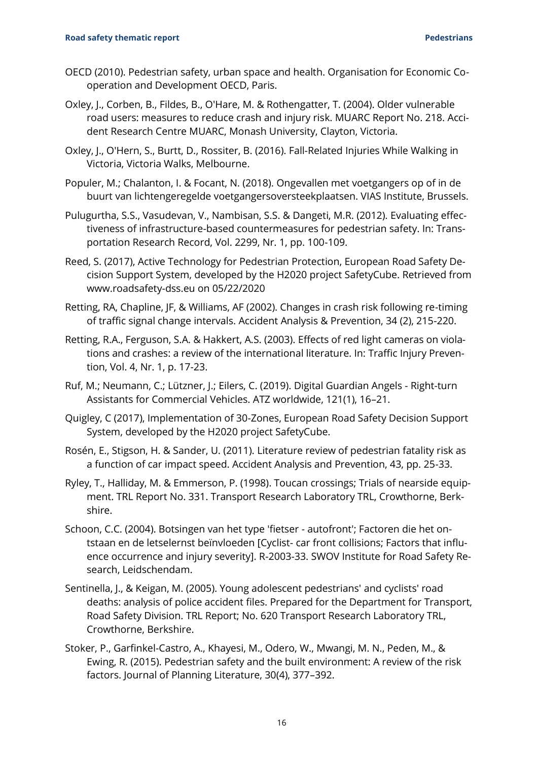#### **Road safety thematic report Pedestrians**

- OECD (2010). Pedestrian safety, urban space and health. Organisation for Economic Cooperation and Development OECD, Paris.
- Oxley, J., Corben, B., Fildes, B., O'Hare, M. & Rothengatter, T. (2004). Older vulnerable road users: measures to reduce crash and injury risk. MUARC Report No. 218. Accident Research Centre MUARC, Monash University, Clayton, Victoria.
- Oxley, J., O'Hern, S., Burtt, D., Rossiter, B. (2016). Fall-Related Injuries While Walking in Victoria, Victoria Walks, Melbourne.
- Populer, M.; Chalanton, I. & Focant, N. (2018). Ongevallen met voetgangers op of in de buurt van lichtengeregelde voetgangersoversteekplaatsen. VIAS Institute, Brussels.
- Pulugurtha, S.S., Vasudevan, V., Nambisan, S.S. & Dangeti, M.R. (2012). Evaluating effectiveness of infrastructure-based countermeasures for pedestrian safety. In: Transportation Research Record, Vol. 2299, Nr. 1, pp. 100-109.
- Reed, S. (2017), Active Technology for Pedestrian Protection, European Road Safety Decision Support System, developed by the H2020 project SafetyCube. Retrieved from www.roadsafety-dss.eu on 05/22/2020
- Retting, RA, Chapline, JF, & Williams, AF (2002). Changes in crash risk following re-timing of traffic signal change intervals. Accident Analysis & Prevention, 34 (2), 215-220.
- Retting, R.A., Ferguson, S.A. & Hakkert, A.S. (2003). Effects of red light cameras on violations and crashes: a review of the international literature. In: Traffic Injury Prevention, Vol. 4, Nr. 1, p. 17-23.
- Ruf, M.; Neumann, C.; Lützner, J.; Eilers, C. (2019). Digital Guardian Angels Right-turn Assistants for Commercial Vehicles. ATZ worldwide, 121(1), 16–21.
- Quigley, C (2017), Implementation of 30-Zones, European Road Safety Decision Support System, developed by the H2020 project SafetyCube.
- Rosén, E., Stigson, H. & Sander, U. (2011). Literature review of pedestrian fatality risk as a function of car impact speed. Accident Analysis and Prevention, 43, pp. 25-33.
- Ryley, T., Halliday, M. & Emmerson, P. (1998). Toucan crossings; Trials of nearside equipment. TRL Report No. 331. Transport Research Laboratory TRL, Crowthorne, Berkshire.
- Schoon, C.C. (2004). Botsingen van het type 'fietser autofront'; Factoren die het ontstaan en de letselernst beïnvloeden [Cyclist- car front collisions; Factors that influence occurrence and injury severity]. R-2003-33. SWOV Institute for Road Safety Research, Leidschendam.
- Sentinella, J., & Keigan, M. (2005). Young adolescent pedestrians' and cyclists' road deaths: analysis of police accident files. Prepared for the Department for Transport, Road Safety Division. TRL Report; No. 620 Transport Research Laboratory TRL, Crowthorne, Berkshire.
- Stoker, P., Garfinkel-Castro, A., Khayesi, M., Odero, W., Mwangi, M. N., Peden, M., & Ewing, R. (2015). Pedestrian safety and the built environment: A review of the risk factors. Journal of Planning Literature, 30(4), 377–392.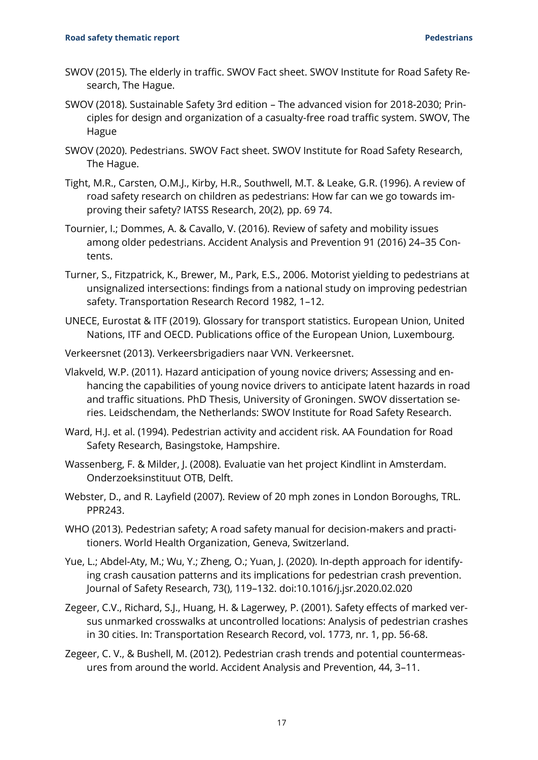- SWOV (2015). The elderly in traffic. SWOV Fact sheet. SWOV Institute for Road Safety Research, The Hague.
- SWOV (2018). Sustainable Safety 3rd edition The advanced vision for 2018-2030; Principles for design and organization of a casualty-free road traffic system. SWOV, The Hague
- SWOV (2020). Pedestrians. SWOV Fact sheet. SWOV Institute for Road Safety Research, The Hague.
- Tight, M.R., Carsten, O.M.J., Kirby, H.R., Southwell, M.T. & Leake, G.R. (1996). A review of road safety research on children as pedestrians: How far can we go towards improving their safety? IATSS Research, 20(2), pp. 69 74.
- Tournier, I.; Dommes, A. & Cavallo, V. (2016). Review of safety and mobility issues among older pedestrians. Accident Analysis and Prevention 91 (2016) 24–35 Contents.
- Turner, S., Fitzpatrick, K., Brewer, M., Park, E.S., 2006. Motorist yielding to pedestrians at unsignalized intersections: findings from a national study on improving pedestrian safety. Transportation Research Record 1982, 1–12.
- UNECE, Eurostat & ITF (2019). Glossary for transport statistics. European Union, United Nations, ITF and OECD. Publications office of the European Union, Luxembourg.
- Verkeersnet (2013). Verkeersbrigadiers naar VVN. Verkeersnet.
- Vlakveld, W.P. (2011). Hazard anticipation of young novice drivers; Assessing and enhancing the capabilities of young novice drivers to anticipate latent hazards in road and traffic situations. PhD Thesis, University of Groningen. SWOV dissertation series. Leidschendam, the Netherlands: SWOV Institute for Road Safety Research.
- Ward, H.J. et al. (1994). Pedestrian activity and accident risk. AA Foundation for Road Safety Research, Basingstoke, Hampshire.
- Wassenberg, F. & Milder, J. (2008). Evaluatie van het project Kindlint in Amsterdam. Onderzoeksinstituut OTB, Delft.
- Webster, D., and R. Layfield (2007). Review of 20 mph zones in London Boroughs, TRL. PPR243.
- WHO (2013). Pedestrian safety; A road safety manual for decision-makers and practitioners. World Health Organization, Geneva, Switzerland.
- Yue, L.; Abdel-Aty, M.; Wu, Y.; Zheng, O.; Yuan, J. (2020). In-depth approach for identifying crash causation patterns and its implications for pedestrian crash prevention. Journal of Safety Research, 73(), 119–132. doi:10.1016/j.jsr.2020.02.020
- Zegeer, C.V., Richard, S.J., Huang, H. & Lagerwey, P. (2001). Safety effects of marked versus unmarked crosswalks at uncontrolled locations: Analysis of pedestrian crashes in 30 cities. In: Transportation Research Record, vol. 1773, nr. 1, pp. 56-68.
- Zegeer, C. V., & Bushell, M. (2012). Pedestrian crash trends and potential countermeasures from around the world. Accident Analysis and Prevention, 44, 3–11.